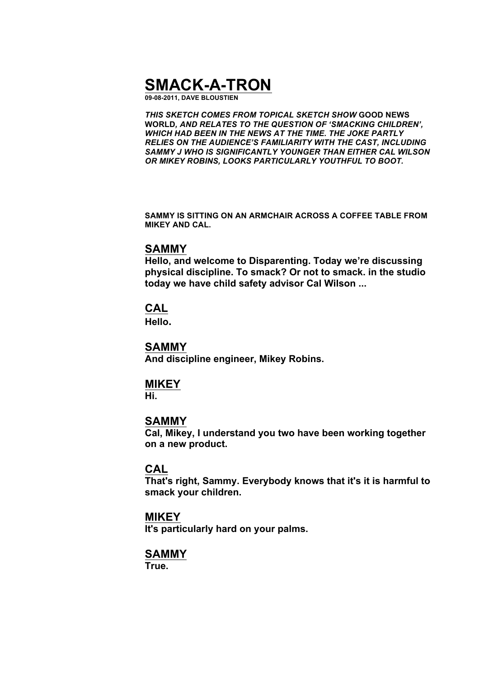# **SMACK-A-TRON**

**09-08-2011, DAVE BLOUSTIEN**

*THIS SKETCH COMES FROM TOPICAL SKETCH SHOW* **GOOD NEWS WORLD***, AND RELATES TO THE QUESTION OF 'SMACKING CHILDREN', WHICH HAD BEEN IN THE NEWS AT THE TIME. THE JOKE PARTLY RELIES ON THE AUDIENCE'S FAMILIARITY WITH THE CAST, INCLUDING SAMMY J WHO IS SIGNIFICANTLY YOUNGER THAN EITHER CAL WILSON OR MIKEY ROBINS, LOOKS PARTICULARLY YOUTHFUL TO BOOT.*

**SAMMY IS SITTING ON AN ARMCHAIR ACROSS A COFFEE TABLE FROM MIKEY AND CAL.**

#### **SAMMY**

**Hello, and welcome to Disparenting. Today we're discussing physical discipline. To smack? Or not to smack. in the studio today we have child safety advisor Cal Wilson ...**

## **CAL**

**Hello.**

#### **SAMMY**

**And discipline engineer, Mikey Robins.**

## **MIKEY**

**Hi.**

## **SAMMY**

**Cal, Mikey, I understand you two have been working together on a new product.**

### **CAL**

**That's right, Sammy. Everybody knows that it's it is harmful to smack your children.**

## **MIKEY**

**It's particularly hard on your palms.**

## **SAMMY**

**True.**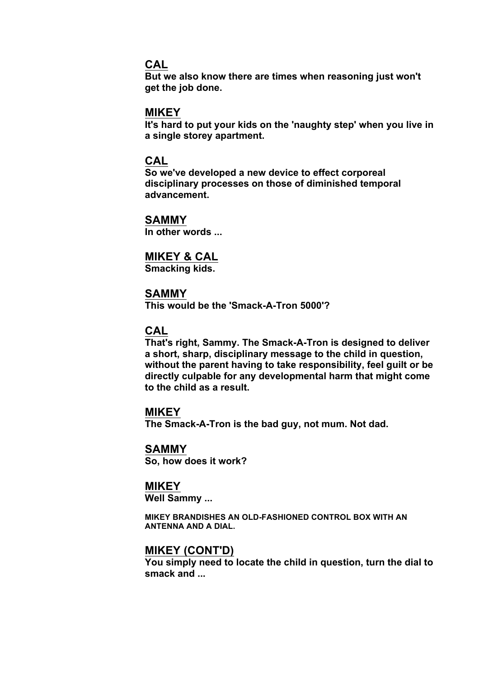## **CAL**

**But we also know there are times when reasoning just won't get the job done.**

#### **MIKEY**

**It's hard to put your kids on the 'naughty step' when you live in a single storey apartment.**

#### **CAL**

**So we've developed a new device to effect corporeal disciplinary processes on those of diminished temporal advancement.**

## **SAMMY**

**In other words ...**

## **MIKEY & CAL**

**Smacking kids.**

#### **SAMMY**

**This would be the 'Smack-A-Tron 5000'?**

### **CAL**

**That's right, Sammy. The Smack-A-Tron is designed to deliver a short, sharp, disciplinary message to the child in question, without the parent having to take responsibility, feel guilt or be directly culpable for any developmental harm that might come to the child as a result.**

#### **MIKEY**

**The Smack-A-Tron is the bad guy, not mum. Not dad.**

#### **SAMMY So, how does it work?**

#### **MIKEY**

**Well Sammy ...**

**MIKEY BRANDISHES AN OLD-FASHIONED CONTROL BOX WITH AN ANTENNA AND A DIAL.**

## **MIKEY (CONT'D)**

**You simply need to locate the child in question, turn the dial to smack and ...**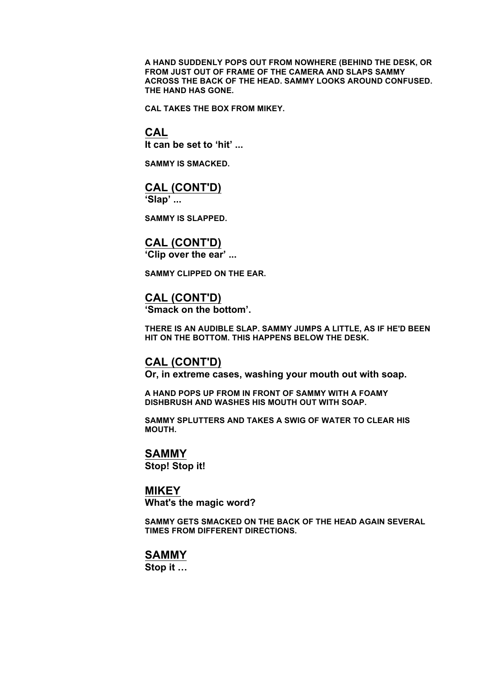**A HAND SUDDENLY POPS OUT FROM NOWHERE (BEHIND THE DESK, OR FROM JUST OUT OF FRAME OF THE CAMERA AND SLAPS SAMMY ACROSS THE BACK OF THE HEAD. SAMMY LOOKS AROUND CONFUSED. THE HAND HAS GONE.**

**CAL TAKES THE BOX FROM MIKEY.**

#### **CAL**

**It can be set to 'hit' ...**

**SAMMY IS SMACKED.**

## **CAL (CONT'D)**

**'Slap' ...**

**SAMMY IS SLAPPED.**

## **CAL (CONT'D)**

**'Clip over the ear' ...**

**SAMMY CLIPPED ON THE EAR.**

## **CAL (CONT'D)**

**'Smack on the bottom'.**

**THERE IS AN AUDIBLE SLAP. SAMMY JUMPS A LITTLE, AS IF HE'D BEEN HIT ON THE BOTTOM. THIS HAPPENS BELOW THE DESK.**

#### **CAL (CONT'D)**

**Or, in extreme cases, washing your mouth out with soap.**

**A HAND POPS UP FROM IN FRONT OF SAMMY WITH A FOAMY DISHBRUSH AND WASHES HIS MOUTH OUT WITH SOAP.**

**SAMMY SPLUTTERS AND TAKES A SWIG OF WATER TO CLEAR HIS MOUTH.**

## **SAMMY**

**Stop! Stop it!**

#### **MIKEY**

**What's the magic word?**

**SAMMY GETS SMACKED ON THE BACK OF THE HEAD AGAIN SEVERAL TIMES FROM DIFFERENT DIRECTIONS.**

## **SAMMY**

**Stop it …**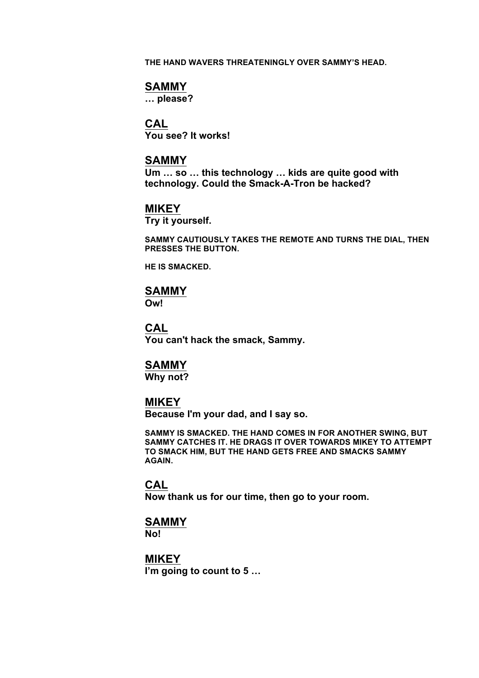**THE HAND WAVERS THREATENINGLY OVER SAMMY'S HEAD.**

#### **SAMMY**

**… please?**

## **CAL**

**You see? It works!**

### **SAMMY**

**Um … so … this technology … kids are quite good with technology. Could the Smack-A-Tron be hacked?**

### **MIKEY**

**Try it yourself.**

**SAMMY CAUTIOUSLY TAKES THE REMOTE AND TURNS THE DIAL, THEN PRESSES THE BUTTON.**

**HE IS SMACKED.**

#### **SAMMY**

**Ow!**

#### **CAL**

**You can't hack the smack, Sammy.**

#### **SAMMY**

**Why not?**

#### **MIKEY**

**Because I'm your dad, and I say so.**

**SAMMY IS SMACKED. THE HAND COMES IN FOR ANOTHER SWING, BUT SAMMY CATCHES IT. HE DRAGS IT OVER TOWARDS MIKEY TO ATTEMPT TO SMACK HIM, BUT THE HAND GETS FREE AND SMACKS SAMMY AGAIN.**

#### **CAL**

**Now thank us for our time, then go to your room.**

### **SAMMY**

**No!**

**MIKEY I'm going to count to 5 …**